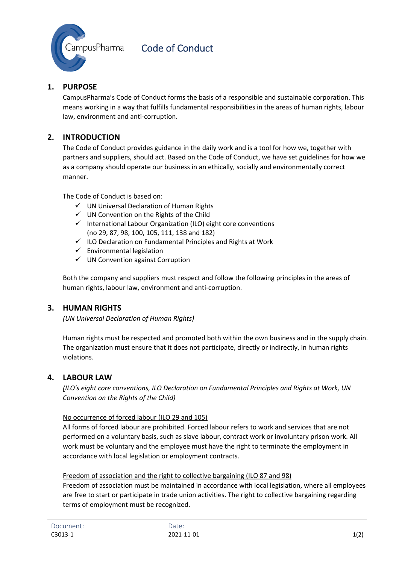

# **1. PURPOSE**

CampusPharma's Code of Conduct forms the basis of a responsible and sustainable corporation. This means working in a way that fulfills fundamental responsibilities in the areas of human rights, labour law, environment and anti-corruption.

# **2. INTRODUCTION**

The Code of Conduct provides guidance in the daily work and is a tool for how we, together with partners and suppliers, should act. Based on the Code of Conduct, we have set guidelines for how we as a company should operate our business in an ethically, socially and environmentally correct manner.

The Code of Conduct is based on:

- $\checkmark$  UN Universal Declaration of Human Rights
- $\checkmark$  UN Convention on the Rights of the Child
- $\checkmark$  International Labour Organization (ILO) eight core conventions (no 29, 87, 98, 100, 105, 111, 138 and 182)
- $\checkmark$  ILO Declaration on Fundamental Principles and Rights at Work
- $\checkmark$  Environmental legislation
- $\checkmark$  UN Convention against Corruption

Both the company and suppliers must respect and follow the following principles in the areas of human rights, labour law, environment and anti-corruption.

### **3. HUMAN RIGHTS**

*(UN Universal Declaration of Human Rights)*

Human rights must be respected and promoted both within the own business and in the supply chain. The organization must ensure that it does not participate, directly or indirectly, in human rights violations.

#### **4. LABOUR LAW**

*(ILO's eight core conventions, ILO Declaration on Fundamental Principles and Rights at Work, UN Convention on the Rights of the Child)*

#### No occurrence of forced labour (ILO 29 and 105)

All forms of forced labour are prohibited. Forced labour refers to work and services that are not performed on a voluntary basis, such as slave labour, contract work or involuntary prison work. All work must be voluntary and the employee must have the right to terminate the employment in accordance with local legislation or employment contracts.

#### Freedom of association and the right to collective bargaining (ILO 87 and 98)

Freedom of association must be maintained in accordance with local legislation, where all employees are free to start or participate in trade union activities. The right to collective bargaining regarding terms of employment must be recognized.